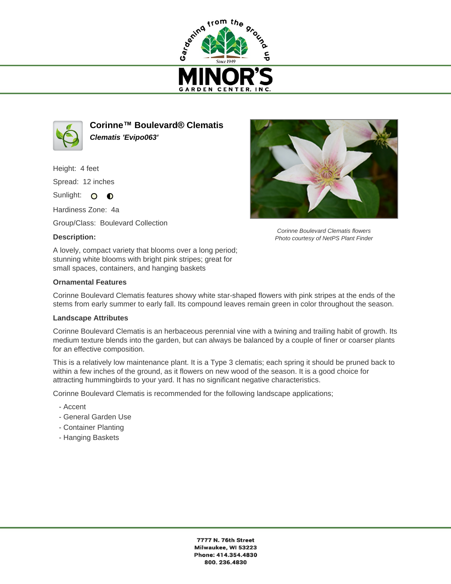



**Corinne™ Boulevard® Clematis Clematis 'Evipo063'**

Height: 4 feet Spread: 12 inches

Sunlight: O **O** 

Hardiness Zone: 4a

Group/Class: Boulevard Collection

## **Description:**

A lovely, compact variety that blooms over a long period; stunning white blooms with bright pink stripes; great for small spaces, containers, and hanging baskets

## **Ornamental Features**

Corinne Boulevard Clematis features showy white star-shaped flowers with pink stripes at the ends of the stems from early summer to early fall. Its compound leaves remain green in color throughout the season.

## **Landscape Attributes**

Corinne Boulevard Clematis is an herbaceous perennial vine with a twining and trailing habit of growth. Its medium texture blends into the garden, but can always be balanced by a couple of finer or coarser plants for an effective composition.

This is a relatively low maintenance plant. It is a Type 3 clematis; each spring it should be pruned back to within a few inches of the ground, as it flowers on new wood of the season. It is a good choice for attracting hummingbirds to your yard. It has no significant negative characteristics.

Corinne Boulevard Clematis is recommended for the following landscape applications;

- Accent
- General Garden Use
- Container Planting
- Hanging Baskets



Corinne Boulevard Clematis flowers Photo courtesy of NetPS Plant Finder